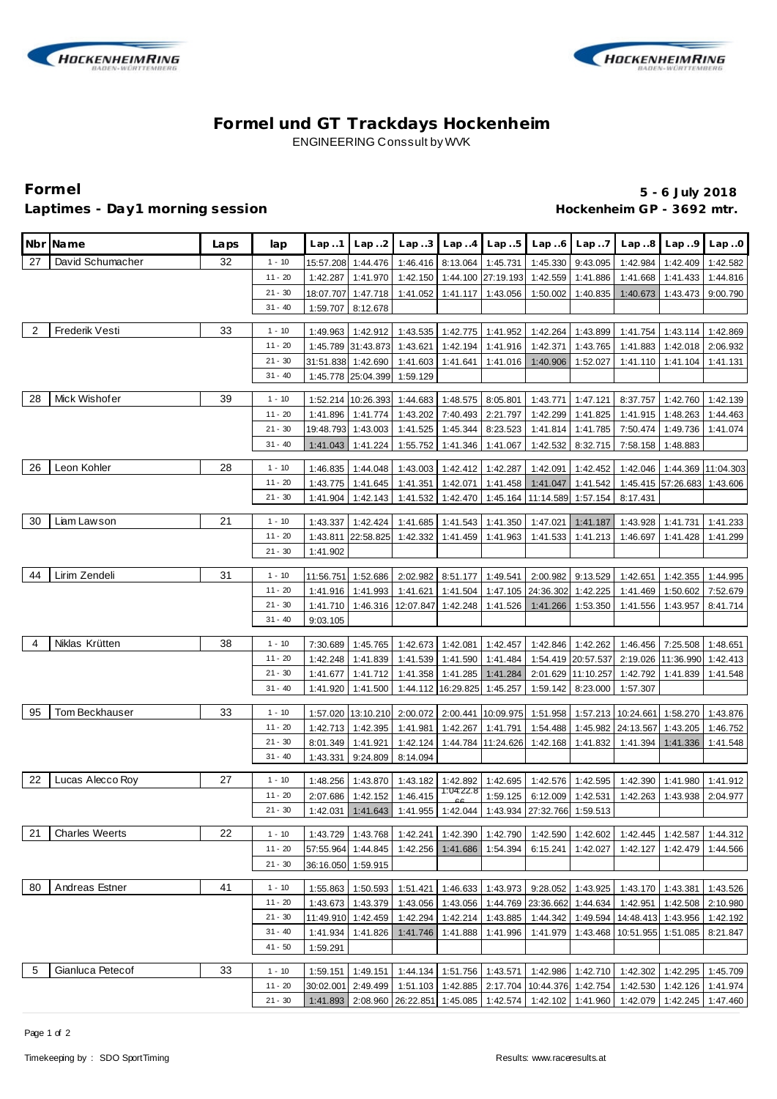



# **Formel und GT Trackdays Hockenheim** ENGINEERING Conssult by WVK

# Laptimes - Day1 morning session **Accord 2018** Hockenheim GP - 3692 mtr.

**Formel 5 - 6 July 2018**

|    | Nbr Name              | Laps | lap                    | Lap.1     | Lap.2              | Lap.3                                                           |                             | $Lap.4$ $Lap.5$                | Lap.6                                      | Lap.7              |                                                                                   | $Lap.8$ $Lap.9$    | Lap.0     |
|----|-----------------------|------|------------------------|-----------|--------------------|-----------------------------------------------------------------|-----------------------------|--------------------------------|--------------------------------------------|--------------------|-----------------------------------------------------------------------------------|--------------------|-----------|
| 27 | David Schumacher      | 32   | $1 - 10$               |           | 15:57.208 1:44.476 | 1:46.416                                                        |                             | 8:13.064 1:45.731              | 1:45.330                                   | 9:43.095           | 1:42.984                                                                          | 1:42.409           | 1:42.582  |
|    |                       |      | $11 - 20$              | 1:42.287  | 1:41.970           | 1:42.150                                                        |                             | 1:44.100 27:19.193             | 1:42.559                                   | 1:41.886           | 1:41.668                                                                          | 1:41.433           | 1:44.816  |
|    |                       |      | $21 - 30$              | 18:07.707 | 1:47.718           | 1:41.052                                                        |                             | 1:41.117 1:43.056              | 1:50.002                                   | 1:40.835           | 1:40.673                                                                          | 1:43.473           | 9:00.790  |
|    |                       |      | $31 - 40$              | 1:59.707  | 8:12.678           |                                                                 |                             |                                |                                            |                    |                                                                                   |                    |           |
|    |                       |      |                        |           |                    |                                                                 |                             |                                |                                            |                    |                                                                                   |                    |           |
| 2  | Frederik Vesti        | 33   | $1 - 10$               | 1:49.963  | 1:42.912           |                                                                 |                             | 1:43.535 1:42.775 1:41.952     | 1:42.264                                   | 1:43.899           | 1:41.754                                                                          | 1:43.114           | 1:42.869  |
|    |                       |      | $11 - 20$              |           | 1:45.789 31:43.873 |                                                                 |                             | 1:43.621 1:42.194 1:41.916     | 1:42.371                                   | 1:43.765           | 1:41.883                                                                          | 1:42.018           | 2:06.932  |
|    |                       |      | $21 - 30$              |           | 31:51.838 1:42.690 |                                                                 |                             | 1:41.603 1:41.641 1:41.016     | 1:40.906                                   | 1:52.027           | 1:41.110                                                                          | 1:41.104           | 1:41.131  |
|    |                       |      | $31 - 40$              |           | 1:45.778 25:04.399 | 1:59.129                                                        |                             |                                |                                            |                    |                                                                                   |                    |           |
| 28 | Mick Wishofer         | 39   | $1 - 10$               |           |                    | 1:52.214 10:26.393 1:44.683 1:48.575 8:05.801                   |                             |                                |                                            | 1:43.771 1:47.121  | 8:37.757                                                                          | 1:42.760           | 1:42.139  |
|    |                       |      | $11 - 20$              | 1:41.896  | 1:41.774           | 1:43.202                                                        | 7:40.493                    | 2:21.797                       | 1:42.299                                   | 1:41.825           | 1:41.915                                                                          | 1:48.263           | 1:44.463  |
|    |                       |      | $21 - 30$              |           | 19:48.793 1:43.003 | 1:41.525                                                        | 1:45.344                    | 8:23.523                       | 1:41.814                                   | 1:41.785           | 7:50.474                                                                          | 1:49.736           | 1:41.074  |
|    |                       |      | $31 - 40$              | 1:41.043  | 1:41.224           | 1:55.752                                                        | 1:41.346                    | 1:41.067                       | 1:42.532                                   | 8:32.715           | 7:58.158                                                                          | 1:48.883           |           |
|    |                       |      |                        |           |                    |                                                                 |                             |                                |                                            |                    |                                                                                   |                    |           |
| 26 | Leon Kohler           | 28   | $1 - 10$               | 1:46.835  | 1:44.048           | 1:43.003                                                        |                             | 1:42.412 1:42.287              | 1:42.091                                   | 1:42.452           | 1:42.046                                                                          | 1:44.369           | 11:04.303 |
|    |                       |      | $11 - 20$              | 1:43.775  | 1:41.645           | 1:41.351                                                        | 1:42.071                    | 1:41.458                       | 1:41.047                                   | 1:41.542           |                                                                                   | 1:45.415 57:26.683 | 1:43.606  |
|    |                       |      | $21 - 30$              | 1:41.904  | 1:42.143           | 1:41.532                                                        |                             |                                | 1:42.470 1:45.164 11:14.589                | 1:57.154           | 8:17.431                                                                          |                    |           |
| 30 | Liam Lawson           | 21   | $1 - 10$               | 1:43.337  | 1:42.424           | 1:41.685                                                        |                             | 1:41.543 1:41.350              | 1:47.021                                   | 1:41.187           | 1:43.928                                                                          | 1:41.731           | 1:41.233  |
|    |                       |      | $11 - 20$              | 1:43.811  | 22:58.825          | 1:42.332                                                        |                             | 1:41.459 1:41.963              | 1:41.533                                   | 1:41.213           | 1:46.697                                                                          | 1:41.428           | 1:41.299  |
|    |                       |      | $21 - 30$              | 1:41.902  |                    |                                                                 |                             |                                |                                            |                    |                                                                                   |                    |           |
|    |                       |      |                        |           |                    |                                                                 |                             |                                |                                            |                    |                                                                                   |                    |           |
| 44 | Lirim Zendeli         | 31   | $1 - 10$               | 11:56.751 | 1:52.686           |                                                                 |                             | 2:02.982 8:51.177 1:49.541     | 2:00.982                                   | 9:13.529           | 1:42.651                                                                          | 1:42.355           | 1:44.995  |
|    |                       |      | $11 - 20$              | 1:41.916  | 1:41.993           | 1:41.621                                                        |                             |                                | 1:41.504 1:47.105 24:36.302                | 1:42.225           | 1:41.469                                                                          | 1:50.602           | 7:52.679  |
|    |                       |      | $21 - 30$              | 1:41.710  |                    | 1:46.316   12:07.847   1:42.248                                 |                             | 1:41.526                       | 1:41.266                                   | 1:53.350           | 1:41.556                                                                          | 1:43.957           | 8:41.714  |
|    |                       |      | $31 - 40$              | 9:03.105  |                    |                                                                 |                             |                                |                                            |                    |                                                                                   |                    |           |
| 4  | Niklas Krütten        | 38   | $1 - 10$               | 7:30.689  | 1:45.765           |                                                                 |                             | 1:42.673 1:42.081 1:42.457     |                                            | 1:42.846 1:42.262  | 1:46.456                                                                          | 7:25.508           | 1:48.651  |
|    |                       |      | $11 - 20$              | 1:42.248  | 1:41.839           |                                                                 |                             | 1:41.539  1:41.590  1:41.484   |                                            | 1:54.419 20:57.537 |                                                                                   | 2:19.026 11:36.990 | 1:42.413  |
|    |                       |      | $21 - 30$              | 1:41.677  | 1:41.712           |                                                                 |                             | 1:41.358 1:41.285 1:41.284     |                                            | 2:01.629 11:10.257 | 1:42.792                                                                          | 1:41.839           | 1:41.548  |
|    |                       |      | $31 - 40$              | 1:41.920  | 1:41.500           |                                                                 | 1:44.112 16:29.825 1:45.257 |                                | 1:59.142                                   | 8:23.000           | 1:57.307                                                                          |                    |           |
|    |                       |      |                        |           |                    |                                                                 |                             |                                |                                            |                    |                                                                                   |                    |           |
| 95 | Tom Beckhauser        | 33   | $1 - 10$               |           | 1:57.020 13:10.210 | 2:00.072                                                        |                             | 2:00.441 10:09.975             | 1:51.958                                   |                    | 1:57.213 10:24.661                                                                | 1:58.270           | 1:43.876  |
|    |                       |      | $11 - 20$              | 1:42.713  | 1:42.395           | 1:41.981                                                        |                             | 1:42.267 1:41.791              | 1:54.488                                   |                    | 1:45.982 24:13.567                                                                | 1:43.205           | 1:46.752  |
|    |                       |      | $21 - 30$              | 8:01.349  | 1:41.921           | 1:42.124                                                        |                             | 1:44.784 11:24.626             | 1:42.168                                   | 1:41.832           | 1:41.394                                                                          | 1:41.336           | 1:41.548  |
|    |                       |      | $31 - 40$              | 1:43.331  | 9:24.809           | 8:14.094                                                        |                             |                                |                                            |                    |                                                                                   |                    |           |
| 22 | Lucas Alecco Roy      | 27   | $1 - 10$               | 1:48.256  | 1:43.870           |                                                                 | 1:43.182 1:42.892           | 1:42.695                       |                                            | 1:42.576 1:42.595  | 1:42.390                                                                          | 1:41.980           | 1:41.912  |
|    |                       |      | $11 - 20$              | 2:07.686  | 1:42.152           | 1:46.415                                                        | 1:04:22.8                   |                                | 1:59.125 6:12.009 1:42.531                 |                    | 1:42.263                                                                          | 1:43.938           | 2:04.977  |
|    |                       |      | $21 - 30$              |           |                    | 1:42.031 1:41.643 1:41.955 1:42.044 1:43.934 27:32.766 1:59.513 |                             |                                |                                            |                    |                                                                                   |                    |           |
|    |                       |      |                        |           |                    |                                                                 |                             |                                |                                            |                    |                                                                                   |                    |           |
| 21 | <b>Charles Weerts</b> | 22   | $1 - 10$               | 1:43.729  | 1:43.768           |                                                                 |                             | 1:42.241   1:42.390   1:42.790 | 1:42.590                                   | 1:42.602           | 1:42.445                                                                          | 1:42.587           | 1:44.312  |
|    |                       |      | $11 - 20$              |           | 57:55.964 1:44.845 | 1:42.256                                                        | 1:41.686                    | 1:54.394                       | 6:15.241                                   | 1:42.027           | 1:42.127                                                                          | 1:42.479           | 1:44.566  |
|    |                       |      | $21 - 30$              |           | 36:16.050 1:59.915 |                                                                 |                             |                                |                                            |                    |                                                                                   |                    |           |
| 80 | Andreas Estner        | 41   | $1 - 10$               |           |                    |                                                                 |                             |                                |                                            |                    |                                                                                   |                    |           |
|    |                       |      | $11 - 20$              | 1:55.863  | 1:50.593           | 1:51.421                                                        |                             | 1:46.633 1:43.973              | 9:28.052                                   | 1:43.925           | 1:43.170                                                                          | 1:43.381           | 1:43.526  |
|    |                       |      |                        | 1:43.673  | 1:43.379           |                                                                 |                             |                                | 1:43.056   1:43.056   1:44.769   23:36.662 | 1:44.634           | 1:42.951                                                                          | 1:42.508           | 2:10.980  |
|    |                       |      | $21 - 30$<br>$31 - 40$ |           | 11:49.910 1:42.459 |                                                                 | 1:42.294 1:42.214 1:43.885  |                                | 1:44.342                                   |                    | 1:49.594   14:48.413   1:43.956                                                   |                    | 1:42.192  |
|    |                       |      |                        | 1:41.934  | 1:41.826           |                                                                 | 1:41.746 1:41.888 1:41.996  |                                | 1:41.979                                   |                    | 1:43.468 10:51.955                                                                | 1:51.085           | 8:21.847  |
|    |                       |      | $41 - 50$              | 1:59.291  |                    |                                                                 |                             |                                |                                            |                    |                                                                                   |                    |           |
| 5  | Gianluca Petecof      | 33   | $1 - 10$               | 1:59.151  | 1:49.151           |                                                                 |                             |                                |                                            |                    | 1:44.134   1:51.756   1:43.571   1:42.986   1:42.710   1:42.302                   | 1:42.295           | 1:45.709  |
|    |                       |      | $11 - 20$              | 30:02.001 | 2:49.499           |                                                                 |                             |                                |                                            |                    | 1:51.103   1:42.885   2:17.704   10:44.376   1:42.754   1:42.530                  | 1:42.126 1:41.974  |           |
|    |                       |      | $21 - 30$              |           |                    |                                                                 |                             |                                |                                            |                    | 1:41.893 2:08.960 26:22.851 1:45.085 1:42.574 1:42.102 1:41.960 1:42.079 1:42.245 |                    | 1:47.460  |